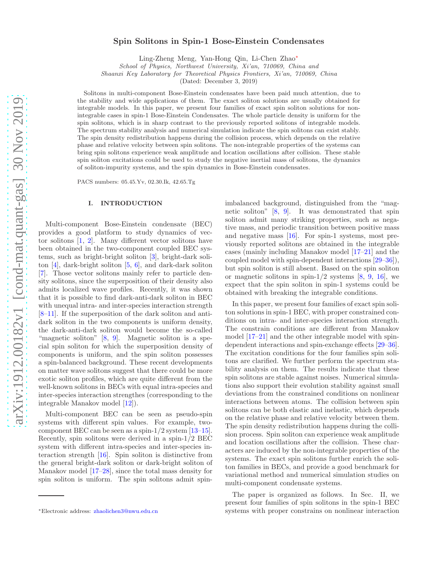# Spin Solitons in Spin-1 Bose-Einstein Condensates

Ling-Zheng Meng, Yan-Hong Qin, Li-Chen Zhao[∗](#page-0-0)

School of Physics, Northwest University, Xi'an, 710069, China and

Shaanxi Key Laboratory for Theoretical Physics Frontiers, Xi'an, 710069, China

(Dated: December 3, 2019)

Solitons in multi-component Bose-Einstein condensates have been paid much attention, due to the stability and wide applications of them. The exact soliton solutions are usually obtained for integrable models. In this paper, we present four families of exact spin soliton solutions for nonintegrable cases in spin-1 Bose-Einstein Condensates. The whole particle density is uniform for the spin solitons, which is in sharp contrast to the previously reported solitons of integrable models. The spectrum stability analysis and numerical simulation indicate the spin solitons can exist stably. The spin density redistribution happens during the collision process, which depends on the relative phase and relative velocity between spin solitons. The non-integrable properties of the systems can bring spin solitons experience weak amplitude and location oscillations after collision. These stable spin soliton excitations could be used to study the negative inertial mass of solitons, the dynamics of soliton-impurity systems, and the spin dynamics in Bose-Einstein condensates.

PACS numbers: 05.45.Yv, 02.30.Ik, 42.65.Tg

### I. INTRODUCTION

Multi-component Bose-Einstein condensate (BEC) provides a good platform to study dynamics of vector solitons [\[1](#page-5-0), [2](#page-5-1)]. Many different vector solitons have been obtained in the two-component coupled BEC systems, such as bright-bright soliton [\[3](#page-6-0)], bright-dark soliton [\[4\]](#page-6-1), dark-bright soliton [\[5,](#page-6-2) [6\]](#page-6-3), and dark-dark soliton [\[7\]](#page-6-4). Those vector solitons mainly refer to particle density solitons, since the superposition of their density also admits localized wave profiles. Recently, it was shown that it is possible to find dark-anti-dark soliton in BEC with unequal intra- and inter-species interaction strength [\[8](#page-6-5)[–11\]](#page-6-6). If the superposition of the dark soliton and antidark soliton in the two components is uniform density, the dark-anti-dark soliton would become the so-called "magnetic soliton" [\[8,](#page-6-5) [9\]](#page-6-7). Magnetic soliton is a special spin soliton for which the superposition density of components is uniform, and the spin soliton possesses a spin-balanced background. These recent developments on matter wave solitons suggest that there could be more exotic soliton profiles, which are quite different from the well-known solitons in BECs with equal intra-species and inter-species interaction strengthes (corresponding to the integrable Manakov model [\[12\]](#page-6-8)).

Multi-component BEC can be seen as pseudo-spin systems with different spin values. For example, twocomponent BEC can be seen as a spin-1/2 system [\[13](#page-6-9)[–15\]](#page-6-10). Recently, spin solitons were derived in a spin-1/2 BEC system with different intra-species and inter-species interaction strength [\[16\]](#page-6-11). Spin soliton is distinctive from the general bright-dark soliton or dark-bright soliton of Manakov model [\[17](#page-6-12)[–28](#page-6-13)], since the total mass density for spin soliton is uniform. The spin solitons admit spinimbalanced background, distinguished from the "magnetic soliton" [\[8,](#page-6-5) [9](#page-6-7)]. It was demonstrated that spin soliton admit many striking properties, such as negative mass, and periodic transition between positive mass and negative mass [\[16](#page-6-11)]. For spin-1 systems, most previously reported solitons are obtained in the integrable cases (mainly including Manakov model [\[17](#page-6-12)[–21\]](#page-6-14) and the coupled model with spin-dependent interactions [\[29](#page-6-15)[–36\]](#page-6-16)), but spin soliton is still absent. Based on the spin soliton or magnetic solitons in spin- $1/2$  systems  $[8, 9, 16]$  $[8, 9, 16]$  $[8, 9, 16]$  $[8, 9, 16]$  $[8, 9, 16]$ , we expect that the spin soliton in spin-1 systems could be obtained with breaking the integrable conditions.

In this paper, we present four families of exact spin soliton solutions in spin-1 BEC, with proper constrained conditions on intra- and inter-species interaction strength. The constrain conditions are different from Manakov model [\[17](#page-6-12)[–21](#page-6-14)] and the other integrable model with spindependent interactions and spin-exchange effects [\[29](#page-6-15)[–36\]](#page-6-16). The excitation conditions for the four families spin solitons are clarified. We further perform the spectrum stability analysis on them. The results indicate that these spin solitons are stable against noises. Numerical simulations also support their evolution stability against small deviations from the constrained conditions on nonlinear interactions between atoms. The collision between spin solitons can be both elastic and inelastic, which depends on the relative phase and relative velocity between them. The spin density redistribution happens during the collision process. Spin soliton can experience weak amplitude and location oscillations after the collision. These characters are induced by the non-integrable properties of the systems. The exact spin solitons further enrich the soliton families in BECs, and provide a good benchmark for variational method and numerical simulation studies on multi-component condensate systems.

The paper is organized as follows. In Sec. II, we present four families of spin solitons in the spin-1 BEC systems with proper constrains on nonlinear interaction

<span id="page-0-0"></span><sup>∗</sup>Electronic address: [zhaolichen3@nwu.edu.cn](mailto:zhaolichen3@nwu.edu.cn)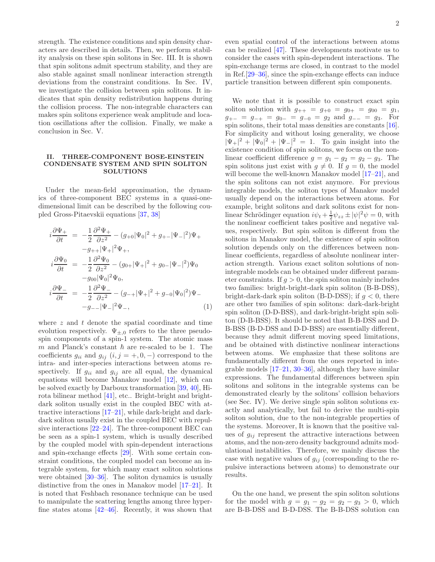strength. The existence conditions and spin density characters are described in details. Then, we perform stability analysis on these spin solitons in Sec. III. It is shown that spin solitons admit spectrum stability, and they are also stable against small nonlinear interaction strength deviations from the constraint conditions. In Sec. IV, we investigate the collision between spin solitons. It indicates that spin density redistribution happens during the collision process. The non-integrable characters can makes spin solitons experience weak amplitude and location oscillations after the collision. Finally, we make a conclusion in Sec. V.

#### II. THREE-COMPONENT BOSE-EINSTEIN CONDENSATE SYSTEM AND SPIN SOLITON **SOLUTIONS**

Under the mean-field approximation, the dynamics of three-component BEC systems in a quasi-onedimensional limit can be described by the following coupled Gross-Pitaevskii equations [\[37](#page-6-17), [38\]](#page-6-18)

<span id="page-1-0"></span>
$$
i\frac{\partial \Psi_{+}}{\partial t} = -\frac{1}{2}\frac{\partial^{2} \Psi_{+}}{\partial z^{2}} - (g_{+0}|\Psi_{0}|^{2} + g_{+-}|\Psi_{-}|^{2})\Psi_{+} \n-g_{++}|\Psi_{+}|^{2}\Psi_{+}, \n i\frac{\partial \Psi_{0}}{\partial t} = -\frac{1}{2}\frac{\partial^{2} \Psi_{0}}{\partial z^{2}} - (g_{0+}|\Psi_{+}|^{2} + g_{0-}|\Psi_{-}|^{2})\Psi_{0} \n-g_{00}|\Psi_{0}|^{2}\Psi_{0}, \n i\frac{\partial \Psi_{-}}{\partial t} = -\frac{1}{2}\frac{\partial^{2} \Psi_{-}}{\partial z^{2}} - (g_{-+}|\Psi_{+}|^{2} + g_{-0}|\Psi_{0}|^{2})\Psi_{-} \n-g_{--}|\Psi_{-}|^{2}\Psi_{-},
$$
\n(1)

where  $z$  and  $t$  denote the spatial coordinate and time evolution respectively.  $\Psi_{\pm,0}$  refers to the three pseudospin components of a spin-1 system. The atomic mass  $m$  and Planck's constant  $\hbar$  are re-scaled to be 1. The coefficients  $g_{ii}$  and  $g_{ij}$   $(i, j = +, 0, -)$  correspond to the intra- and inter-species interactions between atoms respectively. If  $g_{ii}$  and  $g_{ij}$  are all equal, the dynamical equations will become Manakov model [\[12](#page-6-8)], which can be solved exactly by Darboux transformation [\[39](#page-7-0), [40\]](#page-7-1), Hirota bilinear method [\[41\]](#page-7-2), etc.. Bright-bright and brightdark soliton usually exist in the coupled BEC with attractive interactions [\[17](#page-6-12)[–21](#page-6-14)], while dark-bright and darkdark soliton usually exist in the coupled BEC with repulsive interactions [\[22](#page-6-19)[–24](#page-6-20)]. The three-component BEC can be seen as a spin-1 system, which is usually described by the coupled model with spin-dependent interactions and spin-exchange effects [\[29](#page-6-15)]. With some certain constraint conditions, the coupled model can become an integrable system, for which many exact soliton solutions were obtained [\[30](#page-6-21)[–36](#page-6-16)]. The soliton dynamics is usually distinctive from the ones in Manakov model [\[17](#page-6-12)[–21](#page-6-14)]. It is noted that Feshbach resonance technique can be used to manipulate the scattering lengths among three hyperfine states atoms  $[42-46]$ . Recently, it was shown that

even spatial control of the interactions between atoms can be realized [\[47](#page-7-5)]. These developments motivate us to consider the cases with spin-dependent interactions. The spin-exchange terms are closed, in contrast to the model in Ref.[\[29](#page-6-15)[–36\]](#page-6-16), since the spin-exchange effects can induce particle transition between different spin components.

We note that it is possible to construct exact spin soliton solution with  $g_{++} = g_{+0} = g_{0+} = g_{00} = g_1$ ,  $g_{+-} = g_{-+} = g_{0-} = g_{-0} = g_2$  and  $g_{--} = g_3$ . For spin solitons, their total mass densities are constants [\[16\]](#page-6-11). For simplicity and without losing generality, we choose  $|\Psi_+|^2 + |\Psi_0|^2 + |\Psi_-|^2 = 1$ . To gain insight into the existence condition of spin solitons, we focus on the nonlinear coefficient difference  $g = g_1 - g_2 = g_2 - g_3$ . The spin solitons just exist with  $g \neq 0$ . If  $g = 0$ , the model will become the well-known Manakov model [\[17](#page-6-12)[–21\]](#page-6-14), and the spin solitons can not exist anymore. For previous integrable models, the soliton types of Manakov model usually depend on the interactions between atoms. For example, bright solitons and dark solitons exist for nonlinear Schrödinger equation  $i\psi_t + \frac{1}{2}\psi_{zz} \pm |\psi|^2 \psi = 0$ , with the nonlinear coefficient takes positive and negative values, respectively. But spin soliton is different from the solitons in Manakov model, the existence of spin soliton solution depends only on the differences between nonlinear coefficients, regardless of absolute nonlinear interaction strength. Various exact soliton solutions of nonintegrable models can be obtained under different parameter constraints. If  $g > 0$ , the spin soliton mainly includes two families: bright-bright-dark spin soliton (B-B-DSS), bright-dark-dark spin soliton (B-D-DSS); if  $g < 0$ , there are other two families of spin solitons: dark-dark-bright spin soliton (D-D-BSS), and dark-bright-bright spin soliton (D-B-BSS). It should be noted that B-B-DSS and D-B-BSS (B-D-DSS and D-D-BSS) are essentially different, because they admit different moving speed limitations, and be obtained with distinctive nonlinear interactions between atoms. We emphasize that these solitons are fundamentally different from the ones reported in integrable models  $[17–21, 30–36]$  $[17–21, 30–36]$  $[17–21, 30–36]$  $[17–21, 30–36]$  $[17–21, 30–36]$  $[17–21, 30–36]$ , although they have similar expressions. The fundamental differences between spin solitons and solitons in the integrable systems can be demonstrated clearly by the solitons' collision behaviors (see Sec. IV). We derive single spin soliton solutions exactly and analytically, but fail to derive the multi-spin soliton solution, due to the non-integrable properties of the systems. Moreover, It is known that the positive values of  $g_{ij}$  represent the attractive interactions between atoms, and the non-zero density background admits modulational instabilities. Therefore, we mainly discuss the case with negative values of  $g_{ij}$  (corresponding to the repulsive interactions between atoms) to demonstrate our results.

On the one hand, we present the spin soliton solutions for the model with  $g = g_1 - g_2 = g_2 - g_3 > 0$ , which are B-B-DSS and B-D-DSS. The B-B-DSS solution can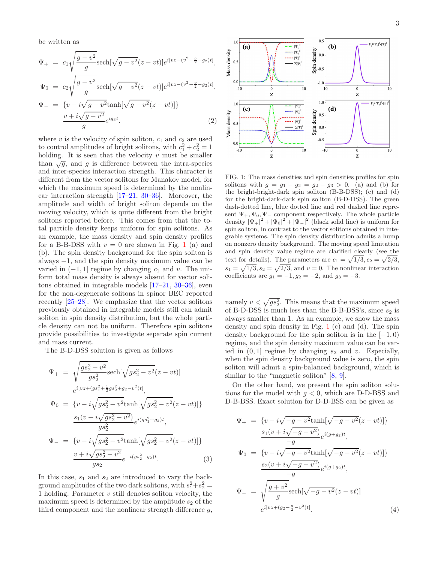be written as

$$
\Psi_{+} = c_{1} \sqrt{\frac{g - v^{2}}{g}} \text{sech}[\sqrt{g - v^{2}}(z - vt)] e^{i[vz - (v^{2} - \frac{g}{2} - g_{2})t]},
$$
\n
$$
\Psi_{0} = c_{2} \sqrt{\frac{g - v^{2}}{g}} \text{sech}[\sqrt{g - v^{2}}(z - vt)] e^{i[vz - (v^{2} - \frac{g}{2} - g_{2})t]},
$$
\n
$$
\Psi_{-} = \{v - i\sqrt{g - v^{2}} \tanh[\sqrt{g - v^{2}}(z - vt)]\}
$$
\n
$$
\frac{v + i\sqrt{g - v^{2}}}{g} e^{ig_{3}t}.
$$
\n(2)

where  $v$  is the velocity of spin soliton,  $c_1$  and  $c_2$  are used to control amplitudes of bright solitons, with  $c_1^2 + c_2^2 = 1$ holding. It is seen that the velocity  $v$  must be smaller than  $\sqrt{g}$ , and g is difference between the intra-species and inter-species interaction strength. This character is different from the vector solitons for Manakov model, for which the maximum speed is determined by the nonlinear interaction strength [\[17](#page-6-12)[–21,](#page-6-14) [30](#page-6-21)[–36\]](#page-6-16). Moreover, the amplitude and width of bright soliton depends on the moving velocity, which is quite different from the bright solitons reported before. This comes from that the total particle density keeps uniform for spin solitons. As an example, the mass density and spin density profiles for a B-B-DSS with  $v = 0$  are shown in Fig. [1](#page-2-0) (a) and (b). The spin density background for the spin soliton is always −1, and the spin density maximum value can be varied in  $(-1, 1]$  regime by changing  $c_1$  and v. The uniform total mass density is always absent for vector solitons obtained in integrable models [\[17](#page-6-12)[–21,](#page-6-14) [30](#page-6-21)[–36](#page-6-16)], even for the non-degenerate solitons in spinor BEC reported recently [\[25](#page-6-22)[–28\]](#page-6-13). We emphasize that the vector solitons previously obtained in integrable models still can admit soliton in spin density distribution, but the whole particle density can not be uniform. Therefore spin solitons provide possibilities to investigate separate spin current and mass current.

The B-D-DSS solution is given as follows

$$
\Psi_{+} = \sqrt{\frac{gs_{2}^{2} - v^{2}}{gs_{2}^{2}}} \text{sech}[\sqrt{gs_{2}^{2} - v^{2}}(z - vt)]
$$
\n
$$
e^{i[vz + (gs_{1}^{2} + \frac{1}{2}gs_{2}^{2} + g_{2} - v^{2})t]},
$$
\n
$$
\Psi_{0} = \{v - i\sqrt{gs_{2}^{2} - v^{2}} \tanh[\sqrt{gs_{2}^{2} - v^{2}}(z - vt)]\}
$$
\n
$$
\frac{s_{1}(v + i\sqrt{gs_{2}^{2} - v^{2}})}{gs_{2}^{2}} e^{i(gs_{1}^{2} + g_{2})t},
$$
\n
$$
\Psi_{-} = \{v - i\sqrt{gs_{2}^{2} - v^{2}} \tanh[\sqrt{gs_{2}^{2} - v^{2}}(z - vt)]\}
$$
\n
$$
\frac{v + i\sqrt{gs_{2}^{2} - v^{2}}}{gs_{2}} e^{-i(gs_{2}^{2} - g_{2})t}.
$$
\n(3)

In this case,  $s_1$  and  $s_2$  are introduced to vary the background amplitudes of the two dark solitons, with  $s_1^2 + s_2^2 =$ 1 holding. Parameter v still denotes soliton velocity, the maximum speed is determined by the amplitude  $s_2$  of the third component and the nonlinear strength difference  $g$ ,



<span id="page-2-0"></span>FIG. 1: The mass densities and spin densities profiles for spin solitons with  $g = g_1 - g_2 = g_2 - g_3 > 0$ . (a) and (b) for the bright-bright-dark spin soliton (B-B-DSS); (c) and (d) for the bright-dark-dark spin soliton (B-D-DSS). The green dash-dotted line, blue dotted line and red dashed line represent  $\Psi_+$ ,  $\Psi_0$ ,  $\Psi_-$  component respectively. The whole particle density  $|\Psi_+|^2 + |\Psi_0|^2 + |\Psi_-|^2$  (black solid line) is uniform for spin soliton, in contrast to the vector solitons obtained in integrable systems. The spin density distribution admits a hump on nonzero density background. The moving speed limitation and spin density value regime are clarified clearly (see the text for details). The parameters are  $c_1 = \sqrt{1/3}, c_2 = \sqrt{2/3}$ ,  $s_1 = \sqrt{1/3}, s_2 = \sqrt{2/3}$ , and  $v = 0$ . The nonlinear interaction coefficients are  $g_1 = -1, g_2 = -2,$  and  $g_3 = -3.$ 

namely  $v < \sqrt{gs_2^2}$ . This means that the maximum speed of B-D-DSS is much less than the B-B-DSS's, since  $s_2$  is always smaller than 1. As an example, we show the mass density and spin density in Fig. [1](#page-2-0) (c) and (d). The spin density background for the spin soliton is in the  $[-1, 0)$ regime, and the spin density maximum value can be varied in  $(0, 1]$  regime by changing  $s_2$  and v. Especially, when the spin density background value is zero, the spin soliton will admit a spin-balanced background, which is similar to the "magnetic soliton" [\[8,](#page-6-5) [9\]](#page-6-7).

On the other hand, we present the spin soliton solutions for the model with  $q < 0$ , which are D-D-BSS and D-B-BSS. Exact solution for D-D-BSS can be given as

$$
\Psi_{+} = \{v - i\sqrt{-g - v^{2}}\tanh[\sqrt{-g - v^{2}}(z - vt)]\}
$$
\n
$$
\frac{s_{1}(v + i\sqrt{-g - v^{2}})}{g}e^{i(g + g_{2})t},
$$
\n
$$
\Psi_{0} = \{v - i\sqrt{-g - v^{2}}\tanh[\sqrt{-g - v^{2}}(z - vt)]\}
$$
\n
$$
\frac{s_{2}(v + i\sqrt{-g - v^{2}})}{g}e^{i(g + g_{2})t},
$$
\n
$$
\Psi_{-} = \sqrt{\frac{g + v^{2}}{g}}\text{sech}[\sqrt{-g - v^{2}}(z - vt)]
$$
\n
$$
e^{i[vz + (g_{2} - \frac{g}{2} - v^{2})t]}.
$$
\n(4)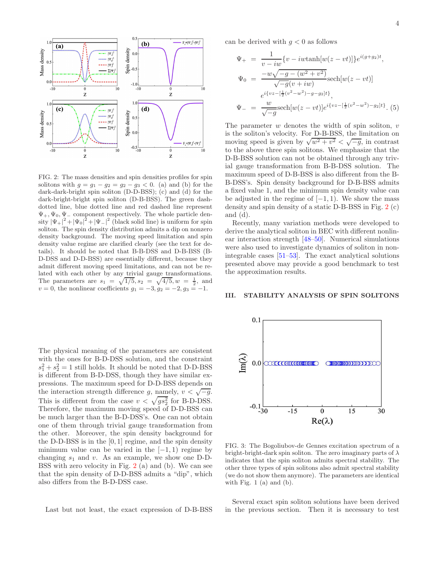

<span id="page-3-0"></span>FIG. 2: The mass densities and spin densities profiles for spin solitons with  $g = g_1 - g_2 = g_2 - g_3 < 0$ . (a) and (b) for the dark-dark-bright spin soliton (D-D-BSS); (c) and (d) for the dark-bright-bright spin soliton (D-B-BSS). The green dashdotted line, blue dotted line and red dashed line represent  $\Psi_+,\Psi_0,\Psi_-$  component respectively. The whole particle density  $|\Psi_+|^2 + |\Psi_0|^2 + |\Psi_-|^2$  (black solid line) is uniform for spin soliton. The spin density distribution admits a dip on nonzero density background. The moving speed limitation and spin density value regime are clarified clearly (see the text for details). It should be noted that B-B-DSS and D-B-BSS (B-D-DSS and D-D-BSS) are essentially different, because they admit different moving speed limitations, and can not be related with each other by any trivial gauge transformations. The parameters are  $s_1 = \sqrt{1/5}, s_2 = \sqrt{4/5}, w = \frac{1}{2},$  and  $v = 0$ , the nonlinear coefficients  $g_1 = -3, g_2 = -2, g_3 = -1$ .

The physical meaning of the parameters are consistent with the ones for B-D-DSS solution, and the constraint  $s_1^2 + s_2^2 = 1$  still holds. It should be noted that D-D-BSS is different from B-D-DSS, though they have similar expressions. The maximum speed for D-D-BSS depends on the interaction strength difference g, namely,  $v < \sqrt{-g}$ . This is different from the case  $v < \sqrt{gs_2^2}$  for B-D-DSS. Therefore, the maximum moving speed of D-D-BSS can be much larger than the B-D-DSS's. One can not obtain one of them through trivial gauge transformation from the other. Moreover, the spin density background for the D-D-BSS is in the  $[0, 1]$  regime, and the spin density minimum value can be varied in the  $[-1, 1)$  regime by changing  $s_1$  and v. As an example, we show one D-D-BSS with zero velocity in Fig. [2](#page-3-0) (a) and (b). We can see that the spin density of D-D-BSS admits a "dip", which also differs from the B-D-DSS case.

Last but not least, the exact expression of D-B-BSS

can be derived with  $g < 0$  as follows

$$
\Psi_{+} = \frac{1}{v - iw} \{v - iw\tanh[w(z - vt)]\} e^{i(g + g_{2})t},
$$
\n
$$
\Psi_{0} = \frac{-w\sqrt{-g - (w^{2} + v^{2})}}{\sqrt{-g}(v + iw)} \text{sech}[w(z - vt)]
$$
\n
$$
e^{i\{vz - [\frac{1}{2}(v^{2} - w^{2}) - g - g_{2}]t\}},
$$
\n
$$
\Psi_{-} = \frac{w}{\sqrt{-g}} \text{sech}[w(z - vt)] e^{i\{vz - [\frac{1}{2}(v^{2} - w^{2}) - g_{2}]t\}}.
$$
\n(5)

The parameter  $w$  denotes the width of spin soliton,  $v$ is the soliton's velocity. For D-B-BSS, the limitation on moving speed is given by  $\sqrt{w^2 + v^2} < \sqrt{-g}$ , in contrast to the above three spin solitons. We emphasize that the D-B-BSS solution can not be obtained through any trivial gauge transformation from B-B-DSS solution. The maximum speed of D-B-BSS is also different from the B-B-DSS's. Spin density background for D-B-BSS admits a fixed value 1, and the minimum spin density value can be adjusted in the regime of  $[-1, 1)$ . We show the mass density and spin density of a static D-B-BSS in Fig. [2](#page-3-0) (c) and (d).

Recently, many variation methods were developed to derive the analytical soliton in BEC with different nonlinear interaction strength [\[48](#page-7-6)[–50\]](#page-7-7). Numerical simulations were also used to investigate dynamics of soliton in nonintegrable cases [\[51](#page-7-8)[–53](#page-7-9)]. The exact analytical solutions presented above may provide a good benchmark to test the approximation results.

### III. STABILITY ANALYSIS OF SPIN SOLITONS



<span id="page-3-1"></span>FIG. 3: The Bogoliubov-de Gennes excitation spectrum of a bright-bright-dark spin soliton. The zero imaginary parts of  $\lambda$ indicates that the spin soliton admits spectral stability. The other three types of spin solitons also admit spectral stability (we do not show them anymore). The parameters are identical with Fig.  $1$  (a) and (b).

Several exact spin soliton solutions have been derived in the previous section. Then it is necessary to test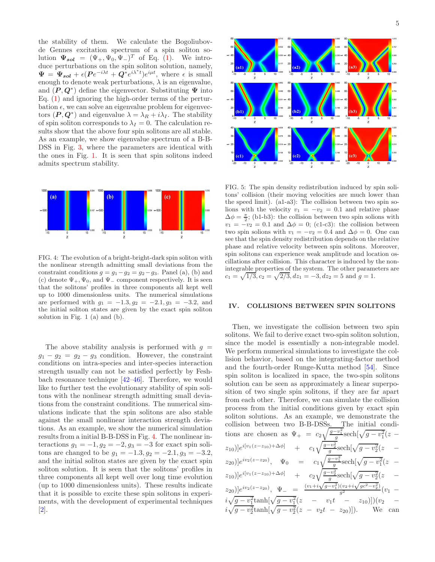the stability of them. We calculate the Bogoliubovde Gennes excitation spectrum of a spin soliton solution  $\Psi_{sol} = (\Psi_+, \Psi_0, \Psi_-)^T$  of Eq. [\(1\)](#page-1-0). We introduce perturbations on the spin soliton solution, namely,  $\Psi = \Psi_{sol} + \epsilon (Pe^{-i\lambda t} + Q^* e^{i\lambda^* t})e^{i\mu t}$ , where  $\epsilon$  is small enough to denote weak perturbations,  $\lambda$  is an eigenvalue, and  $(P, Q^*)$  define the eigenvector. Substituting  $\Psi$  into Eq. [\(1\)](#page-1-0) and ignoring the high-order terms of the perturbation  $\epsilon$ , we can solve an eigenvalue problem for eigenvectors  $(P, Q^*)$  and eigenvalue  $\lambda = \lambda_R + i\lambda_I$ . The stability of spin soliton corresponds to  $\lambda_I = 0$ . The calculation results show that the above four spin solitons are all stable. As an example, we show eigenvalue spectrum of a B-B-DSS in Fig. [3,](#page-3-1) where the parameters are identical with the ones in Fig. [1.](#page-2-0) It is seen that spin solitons indeed admits spectrum stability.



<span id="page-4-0"></span>FIG. 4: The evolution of a bright-bright-dark spin soliton with the nonlinear strength admitting small deviations from the constraint conditions  $g = g_1 - g_2 = g_2 - g_3$ . Panel (a), (b) and (c) denote  $\Psi_+,\Psi_0$ , and  $\Psi_-$  component respectively. It is seen that the solitons' profiles in three components all kept well up to 1000 dimensionless units. The numerical simulations are performed with  $g_1 = -1.3, g_2 = -2.1, g_3 = -3.2,$  and the initial soliton states are given by the exact spin soliton solution in Fig. 1 (a) and (b).

The above stability analysis is performed with  $g =$  $g_1 - g_2 = g_2 - g_3$  condition. However, the constraint conditions on intra-species and inter-species interaction strength usually can not be satisfied perfectly by Feshbach resonance technique [\[42](#page-7-3)[–46\]](#page-7-4). Therefore, we would like to further test the evolutionary stability of spin solitons with the nonlinear strength admitting small deviations from the constraint conditions. The numerical simulations indicate that the spin solitons are also stable against the small nonlinear interaction strength deviations. As an example, we show the numerical simulation results from a initial B-B-DSS in Fig. [4.](#page-4-0) The nonlinear interactions  $g_1 = -1, g_2 = -2, g_3 = -3$  for exact spin solitons are changed to be  $g_1 = -1.3, g_2 = -2.1, g_3 = -3.2,$ and the initial soliton states are given by the exact spin soliton solution. It is seen that the solitons' profiles in three components all kept well over long time evolution (up to 1000 dimensionless units). These results indicate that it is possible to excite these spin solitons in experiments, with the development of experimental techniques [\[2\]](#page-5-1).



<span id="page-4-1"></span>FIG. 5: The spin density redistribution induced by spin solitons' collision (their moving velocities are much lower than the speed limit). (a1-a3): The collision between two spin solions with the velocity  $v_1 = -v_2 = 0.1$  and relative phase  $\Delta \phi = \frac{\pi}{2}$ ; (b1-b3): the collision between two spin solions with  $v_1 = -v_2 = 0.1$  and  $\Delta \phi = 0$ ; (c1-c3): the collision between two spin solions with  $v_1 = -v_2 = 0.4$  and  $\Delta \phi = 0$ . One can see that the spin density redistribution depends on the relative phase and relative velocity between spin solitons. Moreover, spin solitons can experience weak amplitude and location oscillations after collision. This character is induced by the nonintegrable properties of the system. The other parameters are  $c_1 = \sqrt{1/3}, c_2 = \sqrt{2/3}, dz_1 = -3, dz_2 = 5$  and  $g = 1$ .

### IV. COLLISIONS BETWEEN SPIN SOLITONS

Then, we investigate the collision between two spin solitons. We fail to derive exact two-spin soliton solution, since the model is essentially a non-integrable model. We perform numerical simulations to investigate the collision behavior, based on the integrating-factor method and the fourth-order Runge-Kutta method [\[54\]](#page-7-10). Since spin soliton is localized in space, the two-spin solitons solution can be seen as approximately a linear superposition of two single spin solitons, if they are far apart from each other. Therefore, we can simulate the collision process from the initial conditions given by exact spin soliton solutions. As an example, we demonstrate the collision between two B-B-DSSs. The initial conditions are chosen as  $\Psi_+ = c_2 \sqrt{\frac{g-v_1^2}{g}} \text{sech}[\sqrt{g-v_1^2}(z (z_{10})]e^{i[v_1(z-z_{10})+\Delta\phi]}$  +  $c_1\sqrt{\frac{g-v_2^2}{g}}\text{sech}[\sqrt{g-v_2^2}(z - \phi_1^2(z_0))]$  $(z_{20})]e^{iv_2(z-z_{20})}, \quad \Psi_0 = c_1\sqrt{\frac{g-v_1^2}{g}}\text{sech}[\sqrt{g-v_1^2}(z-\frac{g}{g})]$  $(z_{10})]e^{i[v_1(z-z_{10})+\Delta\phi]}$  +  $c_2\sqrt{\frac{g-v_2^2}{g}}\text{sech}[\sqrt{g-v_2^2}(z - \phi_2)]$  $(z_{20})\big]e^{iv_2(z-z_{20})}, \Psi_-\bigg] = \frac{(v_1+i\sqrt{g-v_1^2})(v_2+i\sqrt{g c^2-v_2^2})}{g^2}(v_1$  $i\sqrt{g-v_1^2}\tanh[\sqrt{g-v_1^2}(z - v_1t - z_{10})])(v_2$  $i\sqrt{g - v_2^2} \tanh[\sqrt{g - v_2^2}(z - v_2t - z_{20})]).$  We can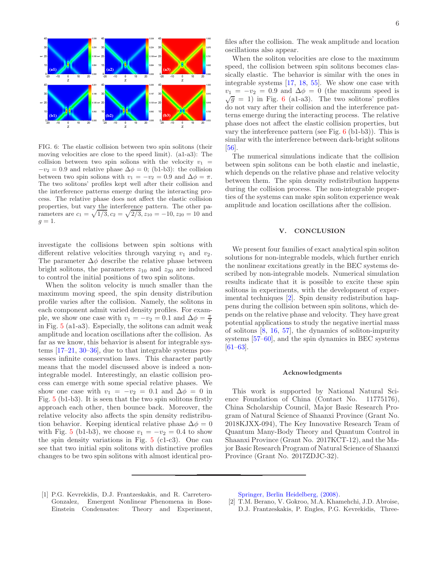

<span id="page-5-2"></span>FIG. 6: The elastic collision between two spin solitons (their moving velocities are close to the speed limit). (a1-a3): The collision between two spin solions with the velocity  $v_1$  =  $-v_2 = 0.9$  and relative phase  $\Delta \phi = 0$ ; (b1-b3): the collision between two spin solions with  $v_1 = -v_2 = 0.9$  and  $\Delta \phi = \pi$ . The two solitons' profiles kept well after their collision and the interference patterns emerge during the interacting process. The relative phase does not affect the elastic collision properties, but vary the interference pattern. The other parameters are  $c_1 = \sqrt{1/3}, c_2 = \sqrt{2/3}, z_{10} = -10, z_{20} = 10$  and  $g=1.$ 

investigate the collisions between spin soltions with different relative velocities through varying  $v_1$  and  $v_2$ . The parameter  $\Delta \phi$  describe the relative phase between bright solitons, the parameters  $z_{10}$  and  $z_{20}$  are induced to control the initial positions of two spin solitons.

When the soliton velocity is much smaller than the maximum moving speed, the spin density distribution profile varies after the collision. Namely, the solitons in each component admit varied density profiles. For example, we show one case with  $v_1 = -v_2 = 0.1$  and  $\Delta \phi = \frac{\pi}{2}$ in Fig. [5](#page-4-1) (a1-a3). Especially, the solitons can admit weak amplitude and location oscillations after the collision. As far as we know, this behavior is absent for integrable systems [\[17](#page-6-12)[–21,](#page-6-14) [30](#page-6-21)[–36\]](#page-6-16), due to that integrable systems possesses infinite conservation laws. This character partly means that the model discussed above is indeed a nonintegrable model. Interestingly, an elastic collision process can emerge with some special relative phases. We show one case with  $v_1 = -v_2 = 0.1$  and  $\Delta \phi = 0$  in Fig. [5](#page-4-1) (b1-b3). It is seen that the two spin solitons firstly approach each other, then bounce back. Moreover, the relative velocity also affects the spin density redistribution behavior. Keeping identical relative phase  $\Delta \phi = 0$ with Fig. [5](#page-4-1) (b1-b3), we choose  $v_1 = -v_2 = 0.4$  to show the spin density variations in Fig.  $5$  (c1-c3). One can see that two initial spin solitons with distinctive profiles changes to be two spin solitons with almost identical pro-

files after the collision. The weak amplitude and location oscillations also appear.

When the soliton velocities are close to the maximum speed, the collision between spin solitons becomes classically elastic. The behavior is similar with the ones in integrable systems [\[17](#page-6-12), [18,](#page-6-23) [55\]](#page-7-11). We show one case with  $v_1 = -v_2 = 0.9$  and  $\Delta \phi = 0$  (the maximum speed is  $\sqrt{g} = 1$ ) in Fig. [6](#page-5-2) (a1-a3). The two solitons' profiles do not vary after their collision and the interference patterns emerge during the interacting process. The relative phase does not affect the elastic collision properties, but vary the interference pattern (see Fig. [6](#page-5-2) (b1-b3)). This is similar with the interference between dark-bright solitons [\[56\]](#page-7-12).

The numerical simulations indicate that the collision between spin solitons can be both elastic and inelastic, which depends on the relative phase and relative velocity between them. The spin density redistribution happens during the collision process. The non-integrable properties of the systems can make spin soliton experience weak amplitude and location oscillations after the collision.

## V. CONCLUSION

We present four families of exact analytical spin soliton solutions for non-integrable models, which further enrich the nonlinear excitations greatly in the BEC systems described by non-integrable models. Numerical simulation results indicate that it is possible to excite these spin solitons in experiments, with the development of experimental techniques [\[2](#page-5-1)]. Spin density redistribution happens during the collision between spin solitons, which depends on the relative phase and velocity. They have great potential applications to study the negative inertial mass of solitons [\[8,](#page-6-5) [16,](#page-6-11) [57\]](#page-7-13), the dynamics of soliton-impurity systems [\[57](#page-7-13)[–60\]](#page-7-14), and the spin dynamics in BEC systems [\[61](#page-7-15)[–63\]](#page-7-16).

#### Acknowledgments

This work is supported by National Natural Science Foundation of China (Contact No. 11775176), China Scholarship Council, Major Basic Research Program of Natural Science of Shaanxi Province (Grant No. 2018KJXX-094), The Key Innovative Research Team of Quantum Many-Body Theory and Quantum Control in Shaanxi Province (Grant No. 2017KCT-12), and the Major Basic Research Program of Natural Science of Shaanxi Province (Grant No. 2017ZDJC-32).

<span id="page-5-0"></span>[1] P.G. Kevrekidis, D.J. Frantzeskakis, and R. Carretero-Gonzalez, Emergent Nonlinear Phenomena in Bose-Einstein Condensates: Theory and Experiment, [Springer, Berlin Heidelberg, \(2008\).](https://doi.org/10.1007/978-3-540-73591-5)

<span id="page-5-1"></span>[2] T.M. Berano, V. Gokroo, M.A. Khamehchi, J.D. Abroise, D.J. Frantzeskakis, P. Engles, P.G. Kevrekidis, Three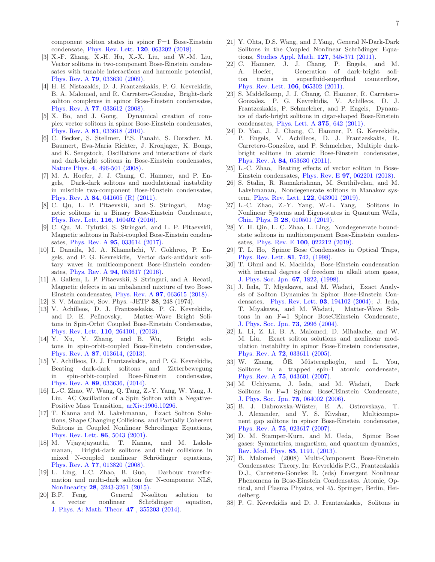component soliton states in spinor F=1 Bose-Einstein condensate, [Phys. Rev. Lett.](https://doi.org/10.1103/PhysRevLett.120.063202) 120, 063202 (2018).

- <span id="page-6-0"></span>[3] X.-F. Zhang, X.-H. Hu, X.-X. Liu, and W.-M. Liu, Vector solitons in two-component Bose-Einstein condensates with tunable interactions and harmonic potential, Phys. Rev. A 79[, 033630 \(2009\).](https://doi.org/10.1103/PhysRevA.79.033630)
- <span id="page-6-1"></span>[4] H. E. Nistazakis, D. J. Frantzeskakis, P. G. Kevrekidis, B. A. Malomed, and R. Carretero-Gonzlez, Bright-dark soliton complexes in spinor Bose-Einstein condensates, Phys. Rev. A **77**[, 033612 \(2008\).](https://doi.org/10.1103/PhysRevA.77.033612)<br>[5] X. Bo, and J. Gong, Dynar
- <span id="page-6-2"></span>Dynamical creation of complex vector solitons in spinor Bose-Einstein condensates, Phys. Rev. A 81[, 033618 \(2010\).](https://doi.org/10.1103/PhysRevA.81.033618)
- <span id="page-6-3"></span>[6] C. Becker, S. Stellmer, P.S. Panahi, S. Dorscher, M. Baumert, Eva-Maria Richter, J. Kronjager, K. Bongs, and K. Sengstock, Oscillations and interactions of dark and dark-bright solitons in Bose-Einstein condensates, Nature Phys. 4[, 496-501 \(2008\).](https://doi.org/10.1038/nphys962)
- <span id="page-6-4"></span>[7] M. A. Hoefer, J. J. Chang, C. Hamner, and P. Engels, Dark-dark solitons and modulational instability in miscible two-component Bose-Einstein condensates, Phys. Rev. A 84[, 041605 \(R\) \(2011\).](https://doi.org/10.1103/PhysRevA.84.041605)
- <span id="page-6-5"></span>[8] C. Qu, L. P. Pitaevskii, and S. Stringari, Magnetic solitons in a Binary Bose-Einstein Condensate, [Phys. Rev. Lett.](https://doi.org/10.1103/PhysRevLett.116.160402) 116, 160402 (2016).
- <span id="page-6-7"></span>[9] C. Qu, M. Tylutki, S. Stringari, and L. P. Pitaevskii, Magnetic solitons in Rabi-coupled Bose-Einstein condensates, Phys. Rev. A **95**[, 033614 \(2017\).](https://doi.org/10.1103/PhysRevA.95.033614)
- [10] I. Danaila, M. A. Khamehchi, V. Gokhroo, P. Engels, and P. G. Kevrekidis, Vector dark-antidark solitary waves in multicomponent Bose-Einstein condensates, Phys. Rev. A 94[, 053617 \(2016\).](https://doi.org/10.1103/PhysRevA.94.053617)
- <span id="page-6-6"></span>[11] A. Gallem, L. P. Pitaevskii, S. Stringari, and A. Recati, Magnetic defects in an imbalanced mixture of two Bose-Einstein condensates, Phys. Rev. A 97[, 063615 \(2018\).](https://doi.org/10.1103/PhysRevA.97.063615)
- <span id="page-6-8"></span>[12] S. V. Manakov, Sov. Phys. -JETP 38, 248 (1974).
- <span id="page-6-9"></span>[13] V. Achilleos, D. J. Frantzeskakis, P. G. Kevrekidis, and D. E. Pelinovsky, Matter-Wave Bright Solitons in Spin-Orbit Coupled Bose-Einstein Condensates, [Phys. Rev. Lett.](https://doi.org/10.1103/PhysRevLett.110.264101) 110, 264101, (2013).
- [14] Y. Xu, Y. Zhang, and B. Wu, Bright solitons in spin-orbit-coupled Bose-Einstein condensates, Phys. Rev. A 87[, 013614, \(2013\).](https://doi.org/10.1103/PhysRevA.87.013614)
- <span id="page-6-10"></span>[15] V. Achilleos, D. J. Frantzeskakis, and P. G. Kevrekidis, Beating dark-dark solitons and Zitterbewegung in spin-orbit-coupled Bose-Einstein condensates, Phys. Rev. A 89[, 033636, \(2014\).](https://doi.org/10.1103/PhysRevA.89.033636)
- <span id="page-6-11"></span>[16] L.-C. Zhao, W. Wang, Q. Tang, Z.-Y. Yang, W. Yang, J. Liu, AC Oscillation of a Spin Soliton with a Negative-Positive Mass Transition, [arXiv:1906.10296.](https://arxiv.org/abs/1906.10296)
- <span id="page-6-12"></span>[17] T. Kanna and M. Lakshmanan, Exact Soliton Solutions, Shape Changing Collisions, and Partially Coherent Solitons in Coupled Nonlinear Schrodinger Equations, [Phys. Rev. Lett.](https://doi.org/10.1103/PhysRevLett.86.5043) 86, 5043 (2001).
- <span id="page-6-23"></span>[18] M. Vijayajayanthi, T. Kanna, and M. Lakshmanan, Bright-dark solitons and their collisions in mixed N-coupled nonlinear Schrödinger equations, Phys. Rev. A 77[, 013820 \(2008\).](https://doi.org/10.1103/PhysRevA.77.013820)
- [19] L. Ling, L.C. Zhao, B. Guo, Darboux transformation and multi-dark soliton for N-component NLS, Nonlinearity 28[, 3243-3261 \(2015\).](https://doi.org/10.1088/0951-7715/28/9/3243)
- [20] B.F. Feng, General N-soliton solution to a vector nonlinear Schrödinger equation, [J. Phys. A: Math. Theor.](https://doi.org/10.1088/1751-8113/47/35/355203) 47 , 355203 (2014).
- <span id="page-6-14"></span>[21] Y. Ohta, D.S. Wang, and J.Yang, General N-Dark-Dark Solitons in the Coupled Nonlinear Schrödinger Equations, [Studies Appl. Math.](https://doi.org/10.1111/j.1467-9590.2011.00525.x) 127, 345-371 (2011).
- <span id="page-6-19"></span>[22] C. Hamner, J. J. Chang, P. Engels, and M. A. Hoefer, Generation of dark-bright soliton trains in superfluid-superfluid counterflow, [Phys. Rev. Lett.](https://doi.org/10.1103/PhysRevLett.106.065302) 106, 065302 (2011).
- [23] S. Middelkamp, J. J. Chang, C. Hamner, R. Carretero-Gonzalez, P. G. Kevrekidis, V. Achilleos, D. J. Frantzeskakis, P. Schmelcher, and P. Engels, Dynamics of dark-bright solitons in cigar-shaped Bose-Einstein condensates, [Phys. Lett. A](https://doi.org/10.1016/j.physleta.2010.11.025) 375, 642 (2011).
- <span id="page-6-20"></span>[24] D. Yan, J. J. Chang, C. Hamner, P. G. Kevrekidis, P. Engels, V. Achilleos, D. J. Frantzeskakis, R. Carretero-González, and P. Schmelcher, Multiple darkbright solitons in atomic Bose-Einstein condensates, Phys. Rev. A 84[, 053630 \(2011\).](https://doi.org/10.1103/PhysRevA.84.053630)
- <span id="page-6-22"></span>[25] L.-C. Zhao, Beating effects of vector soliton in Bose-Einstein condensates, Phys. Rev. E 97[, 062201 \(2018\).](https://doi.org/10.1103/PhysRevE.97.062201)
- [26] S. Stalin, R. Ramakrishnan, M. Senthilvelan, and M. Lakshmanan, Nondegenerate solitons in Manakov system, [Phys. Rev. Lett.](https://doi.org/10.1103/PhysRevLett.122.043901) 122, 043901 (2019).
- [27] L.-C. Zhao, Z.-Y. Yang, W.-L. Yang, Solitons in Nonlinear Systems and Eigen-states in Quantum Wells, Chin. Phys. B 28[, 010501 \(2019\).](https://doi.org/10.1088/1674-1056/28/1/010501)
- <span id="page-6-13"></span>[28] Y. H. Qin, L. C. Zhao, L. Ling, Nondegenerate boundstate solitons in multicomponent Bose-Einstein condensates, Phys. Rev. E 100[, 022212 \(2019\).](https://doi.org/10.1103/PhysRevE.100.022212)
- <span id="page-6-15"></span>[29] T. L. Ho, Spinor Bose Condensates in Optical Traps, [Phys. Rev. Lett.](https://doi.org/10.1103/PhysRevLett.81.742) 81, 742, (1998).
- <span id="page-6-21"></span>[30] T. Ohmi and K. Machida, Bose-Einstein condensation with internal degrees of freedom in alkali atom gases, [J. Phys. Soc. Jpn.](https://doi.org/10.1143/jpsj.67.1822) 67, 1822, (1998).
- [31] J. Ieda, T. Miyakawa, and M. Wadati, Exact Analysis of Soliton Dynamics in Spinor Bose-Einstein Condensates, [Phys. Rev. Lett.](https://doi.org/10.1103/PhysRevLett.93.194102) 93, 194102 (2004); J. Ieda, T. Miyakawa, and M. Wadati, Matter-Wave Solitons in an F=1 Spinor BoseCEinstein Condensate, [J. Phys. Soc. Jpn.](https://doi.org/10.1143/JPSJ.73.2996) 73, 2996 (2004).
- [32] L. Li, Z. Li, B. A. Malomed, D. Mihalache, and W. M. Liu, Exact soliton solutions and nonlinear modulation instability in spinor Bose-Einstein condensates, Phys. Rev. A 72[, 033611 \(2005\).](https://doi.org/10.1103/PhysRevA.72.033611)
- [33] W. Zhang,  $\ddot{O}E$ . Müstecaplio $\ddot{q}$ lu, and L. You, Solitons in a trapped spin-1 atomic condensate, Phys. Rev. A 75[, 043601 \(2007\).](https://doi.org/10.1103/PhysRevA.75.043601)
- [34] M. Uchiyama, J. Ieda, and M. Wadati, Dark Solitons in F=1 Spinor BoseCEinstein Condensate, [J. Phys. Soc. Jpn.](https://doi.org/10.1143/jpsj.75.064002) 75, 064002 (2006).
- [35] B. J. Dabrowska-Wüster, E. A. Ostrovskaya, T. J. Alexander, and Y. S. Kivshar, Multicomponent gap solitons in spinor Bose-Einstein condensates, Phys. Rev. A 75[, 023617 \(2007\).](https://doi.org/10.1103/PhysRevA.75.023617)
- <span id="page-6-16"></span>[36] D. M. Stamper-Kurn, and M. Ueda, Spinor Bose gases: Symmetries, magnetism, and quantum dynamics, [Rev. Mod. Phys.](https://doi.org/10.1103/RevModPhys.85.1191) 85, 1191, (2013).
- <span id="page-6-17"></span>[37] B. Malomed (2008) Multi-Component Bose-Einstein Condensates: Theory. In: Kevrekidis P.G., Frantzeskakis D.J., Carretero-Gonzlez R. (eds) Emergent Nonlinear Phenomena in Bose-Einstein Condensates. Atomic, Optical, and Plasma Physics, vol 45. Springer, Berlin, Heidelberg.
- <span id="page-6-18"></span>[38] P. G. Kevrekidis and D. J. Frantzeskakis, Solitons in